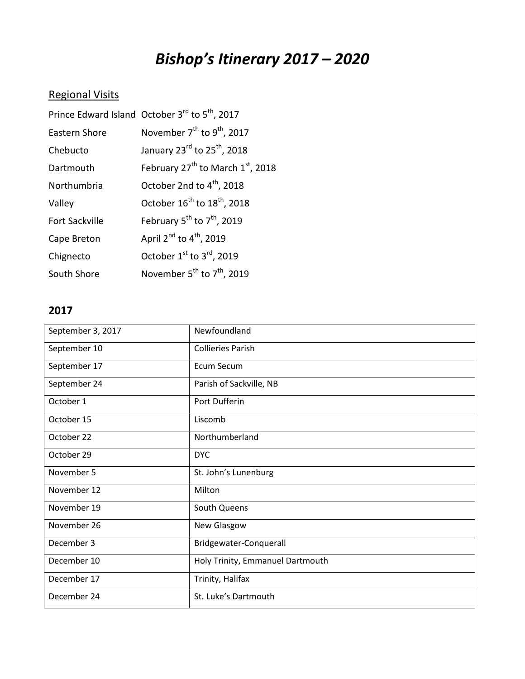## *Bishop's Itinerary 2017 – 2020*

## Regional Visits

|                       | Prince Edward Island October 3 <sup>rd</sup> to 5 <sup>th</sup> , 2017 |
|-----------------------|------------------------------------------------------------------------|
| Eastern Shore         | November $7th$ to $9th$ , 2017                                         |
| Chebucto              | January $23^{\text{rd}}$ to $25^{\text{th}}$ , 2018                    |
| Dartmouth             | February $27^{th}$ to March $1^{st}$ , 2018                            |
| Northumbria           | October 2nd to 4 <sup>th</sup> , 2018                                  |
| Valley                | October $16^{th}$ to $18^{th}$ , 2018                                  |
| <b>Fort Sackville</b> | February $5^{th}$ to $7^{th}$ , 2019                                   |
| Cape Breton           | April $2^{nd}$ to $4^{th}$ , 2019                                      |
| Chignecto             | October $1st$ to $3rd$ , 2019                                          |
| South Shore           | November $5^{th}$ to $7^{th}$ , 2019                                   |

## **2017**

| September 3, 2017 | Newfoundland                     |
|-------------------|----------------------------------|
| September 10      | <b>Collieries Parish</b>         |
| September 17      | Ecum Secum                       |
| September 24      | Parish of Sackville, NB          |
| October 1         | Port Dufferin                    |
| October 15        | Liscomb                          |
| October 22        | Northumberland                   |
| October 29        | <b>DYC</b>                       |
| November 5        | St. John's Lunenburg             |
| November 12       | Milton                           |
| November 19       | South Queens                     |
| November 26       | New Glasgow                      |
| December 3        | Bridgewater-Conquerall           |
| December 10       | Holy Trinity, Emmanuel Dartmouth |
| December 17       | Trinity, Halifax                 |
| December 24       | St. Luke's Dartmouth             |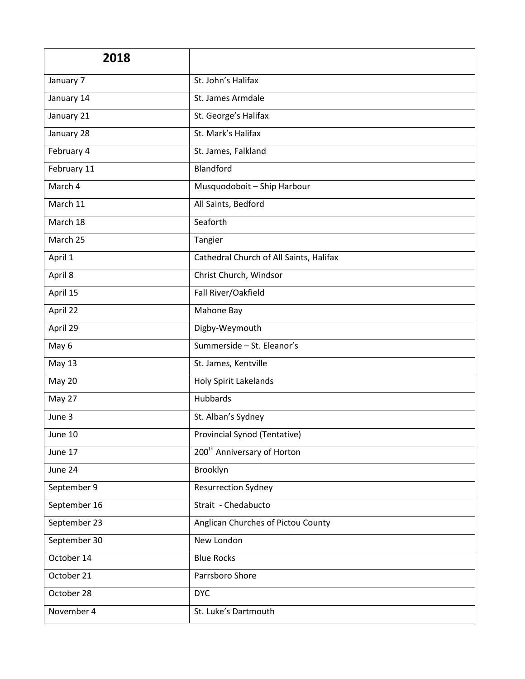| 2018         |                                         |
|--------------|-----------------------------------------|
| January 7    | St. John's Halifax                      |
| January 14   | St. James Armdale                       |
| January 21   | St. George's Halifax                    |
| January 28   | St. Mark's Halifax                      |
| February 4   | St. James, Falkland                     |
| February 11  | Blandford                               |
| March 4      | Musquodoboit - Ship Harbour             |
| March 11     | All Saints, Bedford                     |
| March 18     | Seaforth                                |
| March 25     | Tangier                                 |
| April 1      | Cathedral Church of All Saints, Halifax |
| April 8      | Christ Church, Windsor                  |
| April 15     | Fall River/Oakfield                     |
| April 22     | Mahone Bay                              |
| April 29     | Digby-Weymouth                          |
| May 6        | Summerside - St. Eleanor's              |
| May 13       | St. James, Kentville                    |
| May 20       | Holy Spirit Lakelands                   |
| May 27       | Hubbards                                |
| June 3       | St. Alban's Sydney                      |
| June 10      | Provincial Synod (Tentative)            |
| June 17      | 200 <sup>th</sup> Anniversary of Horton |
| June 24      | Brooklyn                                |
| September 9  | <b>Resurrection Sydney</b>              |
| September 16 | Strait - Chedabucto                     |
| September 23 | Anglican Churches of Pictou County      |
| September 30 | New London                              |
| October 14   | <b>Blue Rocks</b>                       |
| October 21   | Parrsboro Shore                         |
| October 28   | <b>DYC</b>                              |
| November 4   | St. Luke's Dartmouth                    |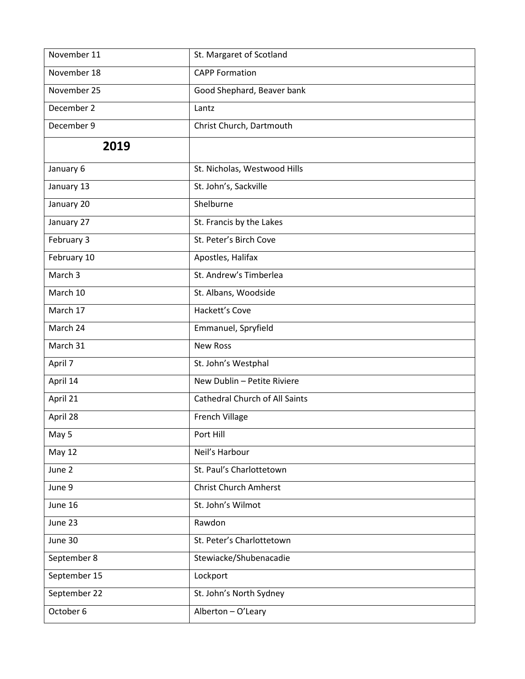| November 11        | St. Margaret of Scotland              |
|--------------------|---------------------------------------|
| November 18        | <b>CAPP Formation</b>                 |
| November 25        | Good Shephard, Beaver bank            |
| December 2         | Lantz                                 |
| December 9         | Christ Church, Dartmouth              |
| 2019               |                                       |
| January 6          | St. Nicholas, Westwood Hills          |
| January 13         | St. John's, Sackville                 |
| January 20         | Shelburne                             |
| January 27         | St. Francis by the Lakes              |
| February 3         | St. Peter's Birch Cove                |
| February 10        | Apostles, Halifax                     |
| March <sub>3</sub> | St. Andrew's Timberlea                |
| March 10           | St. Albans, Woodside                  |
| March 17           | Hackett's Cove                        |
| March 24           | Emmanuel, Spryfield                   |
| March 31           | <b>New Ross</b>                       |
| April 7            | St. John's Westphal                   |
| April 14           | New Dublin - Petite Riviere           |
| April 21           | <b>Cathedral Church of All Saints</b> |
| April 28           | French Village                        |
| May 5              | Port Hill                             |
| May 12             | Neil's Harbour                        |
| June 2             | St. Paul's Charlottetown              |
| June 9             | <b>Christ Church Amherst</b>          |
| June 16            | St. John's Wilmot                     |
| June 23            | Rawdon                                |
| June 30            | St. Peter's Charlottetown             |
| September 8        | Stewiacke/Shubenacadie                |
| September 15       | Lockport                              |
| September 22       | St. John's North Sydney               |
| October 6          | Alberton - O'Leary                    |